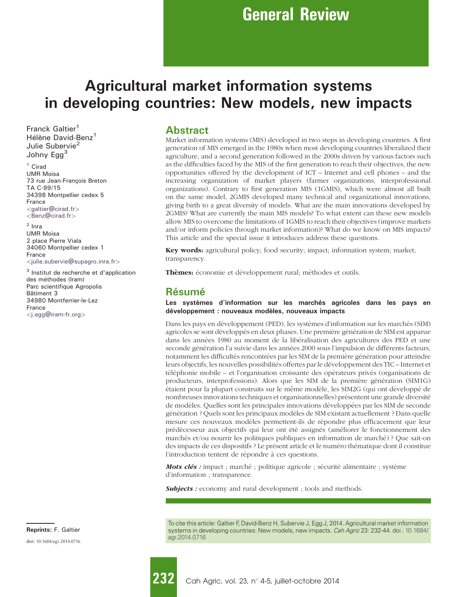# Agricultural market information systems in developing countries: New models, new impacts

Franck Galtier<sup>1</sup> Hélène David-Benz<sup>1</sup> Julie Subervie<sup>2</sup> Johny Egg<sup>3</sup>

<sup>1</sup> Cirad UMR Moisa 73 rue Jean-François Breton TA C-99/15 34398 Montpellier cedex 5 France <[galtier@cirad.fr](mailto:galtier@cirad.fr)>

<[Benz@cirad.fr](mailto:Benz@cirad.fr)>

<sup>2</sup> Inra UMR Moisa 2 place Pierre Viala 34060 Montpellier cedex 1 France <[julie.subervie@supagro.inra.fr](mailto:julie.subervie@supagro.inra.fr)>

<sup>3</sup> Institut de recherche et d'application des méthodes (Iram) Parc scientifique Agropolis Bâtiment 3 34980 Montferrier-le-Lez France <[j.egg@iram-fr.org](mailto:j.egg@iram-fr.org)>

doi: [10.1684/agr.2014.0716](http://dx.doi.org/10.1684/agr.2014.0716) Reprints: F. Galtier

#### **Abstract**

Market information systems (MIS) developed in two steps in developing countries. A first generation of MIS emerged in the 1980s when most developing countries liberalized their agriculture, and a second generation followed in the 2000s driven by various factors such as the difficulties faced by the MIS of the first generation to reach their objectives, the new opportunities offered by the development of ICT – Internet and cell phones – and the increasing organization of market players (farmer organizations, interprofessional organizations). Contrary to first generation MIS (1GMIS), which were almost all built on the same model, 2GMIS developed many technical and organizational innovations, giving birth to a great diversity of models. What are the main innovations developed by 2GMIS? What are currently the main MIS models? To what extent can these new models allow MIS to overcome the limitations of 1GMIS to reach their objectives (improve markets and/or inform policies through market information)? What do we know on MIS impacts? This article and the special issue it introduces address these questions.

Key words: agricultural policy; food security; impact; information system; market; transparency.

Thèmes: économie et développement rural; méthodes et outils.

# Résumé

Les systèmes d'information sur les marchés agricoles dans les pays en développement : nouveaux modèles, nouveaux impacts

Dans les pays en développement (PED), les systèmes d'information sur les marchés (SIM) agricoles se sont développés en deux phases. Une première génération de SIM est apparue dans les années 1980 au moment de la libéralisation des agricultures des PED et une seconde génération l'a suivie dans les années 2000 sous l'impulsion de différents facteurs, notamment les difficultés rencontrées par les SIM de la première génération pour atteindre leurs objectifs, les nouvelles possibilités offertes par le développement des TIC – Internet et téléphonie mobile – et l'organisation croissante des opérateurs privés (organisations de producteurs, interprofessions). Alors que les SIM de la première génération (SIM1G) étaient pour la plupart construits sur le même modèle, les SIM2G (qui ont développé de nombreuses innovations techniques et organisationnelles) présentent une grande diversité de modèles. Quelles sont les principales innovations développées par les SIM de seconde génération ? Quels sont les principaux modèles de SIM existant actuellement ? Dans quelle mesure ces nouveaux modèles permettent-ils de répondre plus efficacement que leur prédécesseur aux objectifs qui leur ont été assignés (améliorer le fonctionnement des marchés et/ou nourrir les politiques publiques en information de marché) ? Que sait-on des impacts de ces dispositifs ? Le présent article et le numéro thématique dont il constitue l'introduction tentent de répondre à ces questions.

*Mots clés :* impact ; marché ; politique agricole ; sécurité alimentaire ; système d'information ; transparence.

**Subjects :** economy and rural development ; tools and methods.

To cite this article: Galtier F, David-Benz H, Subervie J, Egg J, 2014. Agricultural market information systems in developing countries: New models, new impacts. Cah Agric 23: 232-44. doi : [10.1684/](http://dx.doi.org/10.1684/agr.2014.0716) [agr.2014.0716](http://dx.doi.org/10.1684/agr.2014.0716)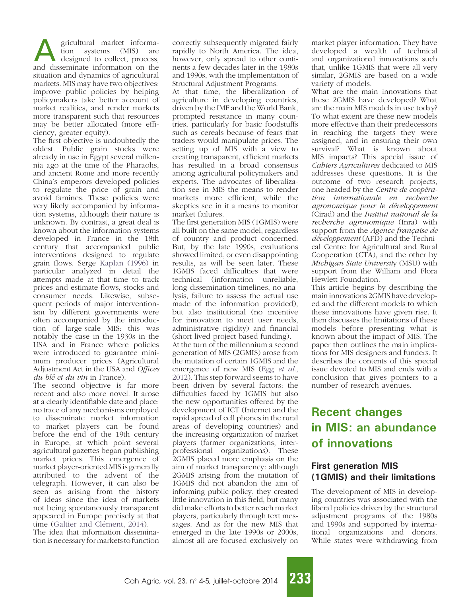**A** gricultural market informa-<br>tion systems (MIS) are<br>designed to collect, process,<br>and disseminate information on the tion systems (MIS) are designed to collect, process, situation and dynamics of agricultural markets. MIS may have two objectives: improve public policies by helping policymakers take better account of market realities, and render markets more transparent such that resources may be better allocated (more efficiency, greater equity).

The first objective is undoubtedly the oldest. Public grain stocks were already in use in Egypt several millennia ago at the time of the Pharaohs, and ancient Rome and more recently China's emperors developed policies to regulate the price of grain and avoid famines. These policies were very likely accompanied by information systems, although their nature is unknown. By contrast, a great deal is known about the information systems developed in France in the 18th century that accompanied public interventions designed to regulate grain flows. Serge [Kaplan \(1996\)](#page-12-0) in particular analyzed in detail the attempts made at that time to track prices and estimate flows, stocks and consumer needs. Likewise, subsequent periods of major interventionism by different governments were often accompanied by the introduction of large-scale MIS: this was notably the case in the 1930s in the USA and in France where policies were introduced to guarantee minimum producer prices (Agricultural Adjustment Act in the USA and Offices du blé et du vin in France).

The second objective is far more recent and also more novel. It arose at a clearly identifiable date and place: no trace of any mechanisms employed to disseminate market information to market players can be found before the end of the 19th century in Europe, at which point several agricultural gazettes began publishing market prices. This emergence of market player-oriented MIS is generally attributed to the advent of the telegraph. However, it can also be seen as arising from the history of ideas since the idea of markets not being spontaneously transparent appeared in Europe precisely at that time (Galtier and Clément, 2014). The idea that information dissemina-

tion is necessary for markets to function

correctly subsequently migrated fairly rapidly to North America. The idea, however, only spread to other continents a few decades later in the 1980s and 1990s, with the implementation of Structural Adjustment Programs.

At that time, the liberalization of agriculture in developing countries, driven by the IMF and the World Bank, prompted resistance in many countries, particularly for basic foodstuffs such as cereals because of fears that traders would manipulate prices. The setting up of MIS with a view to creating transparent, efficient markets has resulted in a broad consensus among agricultural policymakers and experts. The advocates of liberalization see in MIS the means to render markets more efficient, while the skeptics see in it a means to monitor market failures.

The first generation MIS (1GMIS) were all built on the same model, regardless of country and product concerned. But, by the late 1990s, evaluations showed limited, or even disappointing results, as will be seen later. These 1GMIS faced difficulties that were technical (information unreliable, long dissemination timelines, no analysis, failure to assess the actual use made of the information provided), but also institutional (no incentive for innovation to meet user needs, administrative rigidity) and financial (short-lived project-based funding).

At the turn of the millennium a second generation of MIS (2GMIS) arose from the mutation of certain 1GMIS and the emergence of new MIS (Egg [et al](#page-11-0)., [2012](#page-11-0)). This step forward seems to have been driven by several factors: the difficulties faced by 1GMIS but also the new opportunities offered by the development of ICT (Internet and the rapid spread of cell phones in the rural areas of developing countries) and the increasing organization of market players (farmer organizations, interprofessional organizations). These 2GMIS placed more emphasis on the aim of market transparency: although 2GMIS arising from the mutation of 1GMIS did not abandon the aim of informing public policy, they created little innovation in this field, but many did make efforts to better reach market players, particularly through text messages. And as for the new MIS that emerged in the late 1990s or 2000s, almost all are focused exclusively on

market player information. They have developed a wealth of technical and organizational innovations such that, unlike 1GMIS that were all very similar, 2GMIS are based on a wide variety of models.

What are the main innovations that these 2GMIS have developed? What are the main MIS models in use today? To what extent are these new models more effective than their predecessors in reaching the targets they were assigned, and in ensuring their own survival? What is known about MIS impacts? This special issue of Cahiers Agricultures dedicated to MIS addresses these questions. It is the outcome of two research projects, one headed by the Centre de coopération internationale en recherche agronomique pour le développement (Cirad) and the Institut national de la recherche agronomique (Inra) with support from the Agence française de développement (AFD) and the Technical Centre for Agricultural and Rural Cooperation (CTA), and the other by Michigan State University (MSU) with support from the William and Flora Hewlett Foundation.

This article begins by describing the main innovations 2GMIS have developed and the different models to which these innovations have given rise. It then discusses the limitations of these models before presenting what is known about the impact of MIS. The paper then outlines the main implications for MIS designers and funders. It describes the contents of this special issue devoted to MIS and ends with a conclusion that gives pointers to a number of research avenues.

# Recent changes in MIS: an abundance of innovations

# First generation MIS (1GMIS) and their limitations

The development of MIS in developing countries was associated with the liberal policies driven by the structural adjustment programs of the 1980s and 1990s and supported by international organizations and donors. While states were withdrawing from

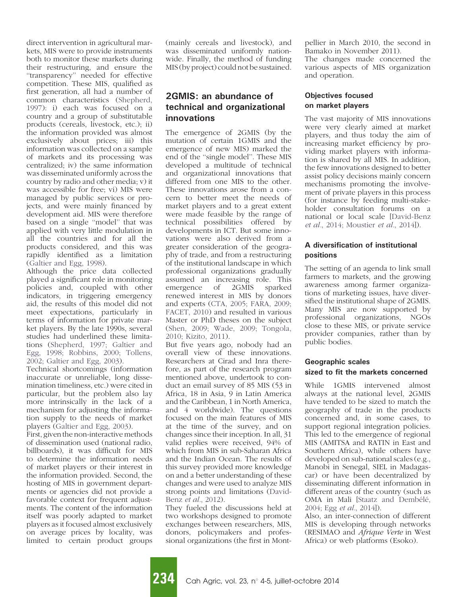direct intervention in agricultural markets, MIS were to provide instruments both to monitor these markets during their restructuring, and ensure the ''transparency'' needed for effective competition. These MIS, qualified as first generation, all had a number of common characteristics [\(Shepherd,](#page-12-0) [1997\)](#page-12-0): i) each was focused on a country and a group of substitutable products (cereals, livestock, etc.); ii) the information provided was almost exclusively about prices; iii) this information was collected on a sample of markets and its processing was centralized; iv) the same information was disseminated uniformly across the country by radio and other media; v) it was accessible for free; vi) MIS were managed by public services or projects, and were mainly financed by development aid. MIS were therefore based on a single "model" that was applied with very little modulation in all the countries and for all the products considered, and this was rapidly identified as a limitation ([Galtier and Egg, 1998\)](#page-11-0).

Although the price data collected played a significant role in monitoring policies and, coupled with other indicators, in triggering emergency aid, the results of this model did not meet expectations, particularly in terms of information for private market players. By the late 1990s, several studies had underlined these limitations ([Shepherd, 1997; Galtier and](#page-12-0) [Egg, 1998; Robbins, 2000; Tollens,](#page-12-0) [2002; Galtier and Egg, 2003](#page-12-0)).

Technical shortcomings (information inaccurate or unreliable, long dissemination timeliness, etc.) were cited in particular, but the problem also lay more intrinsically in the lack of a mechanism for adjusting the information supply to the needs of market players ([Galtier and Egg, 2003\)](#page-11-0).

First, given the non-interactive methods of dissemination used (national radio, billboards), it was difficult for MIS to determine the information needs of market players or their interest in the information provided. Second, the hosting of MIS in government departments or agencies did not provide a favorable context for frequent adjustments. The content of the information itself was poorly adapted to market players as it focused almost exclusively on average prices by locality, was limited to certain product groups

(mainly cereals and livestock), and was disseminated uniformly nationwide. Finally, the method of funding MIS (by project) could not be sustained.

### 2GMIS: an abundance of technical and organizational innovations

The emergence of 2GMIS (by the mutation of certain 1GMIS and the emergence of new MIS) marked the end of the ''single model''. These MIS developed a multitude of technical and organizational innovations that differed from one MIS to the other. These innovations arose from a concern to better meet the needs of market players and to a great extent were made feasible by the range of technical possibilities offered by developments in ICT. But some innovations were also derived from a greater consideration of the geography of trade, and from a restructuring of the institutional landscape in which professional organizations gradually assumed an increasing role. This emergence of 2GMIS sparked renewed interest in MIS by donors and experts ([CTA, 2005; FARA, 2009;](#page-11-0) [FACET, 2010\)](#page-11-0) and resulted in various Master or PhD theses on the subject [\(Shen, 2009; Wade, 2009; Tongola,](#page-12-0) [2010; Kizito, 2011](#page-12-0)).

But five years ago, nobody had an overall view of these innovations. Researchers at Cirad and Inra therefore, as part of the research program mentioned above, undertook to conduct an email survey of 85 MIS (53 in Africa, 18 in Asia, 9 in Latin America and the Caribbean, 1 in North America, and 4 worldwide). The questions focused on the main features of MIS at the time of the survey, and on changes since their inception. In all, 31 valid replies were received, 94% of which from MIS in sub-Saharan Africa and the Indian Ocean. The results of this survey provided more knowledge on and a better understanding of these changes and were used to analyze MIS strong points and limitations ([David-](#page-11-0)Benz et al.[, 2012\)](#page-11-0).

They fueled the discussions held at two workshops designed to promote exchanges between researchers, MIS, donors, policymakers and professional organizations (the first in Montpellier in March 2010, the second in Bamako in November 2011). The changes made concerned the various aspects of MIS organization and operation.

#### Objectives focused on market players

The vast majority of MIS innovations were very clearly aimed at market players, and thus today the aim of increasing market efficiency by providing market players with information is shared by all MIS. In addition, the few innovations designed to better assist policy decisions mainly concern mechanisms promoting the involvement of private players in this process (for instance by feeding multi-stakeholder consultation forums on a national or local scale [[David-Benz](#page-11-0) et al.[, 2014; Moustier](#page-11-0) et al., 2014]).

#### A diversification of institutional positions

The setting of an agenda to link small farmers to markets, and the growing awareness among farmer organizations of marketing issues, have diversified the institutional shape of 2GMIS. Many MIS are now supported by professional organizations, NGOs close to these MIS, or private service provider companies, rather than by public bodies.

#### Geographic scales sized to fit the markets concerned

While 1GMIS intervened almost always at the national level, 2GMIS have tended to be sized to match the geography of trade in the products concerned and, in some cases, to support regional integration policies. This led to the emergence of regional MIS (AMITSA and RATIN in East and Southern Africa), while others have developed on sub-national scales (e.g., Manobi in Senegal, SIEL in Madagascar) or have been decentralized by disseminating different information in different areas of the country (such as OMA in Mali [Staatz and Dembélé, [2004; Egg](#page-12-0) et al., 2014]).

Also, an inter-connection of different MIS is developing through networks (RESIMAO and Afrique Verte in West Africa) or web platforms (Esoko).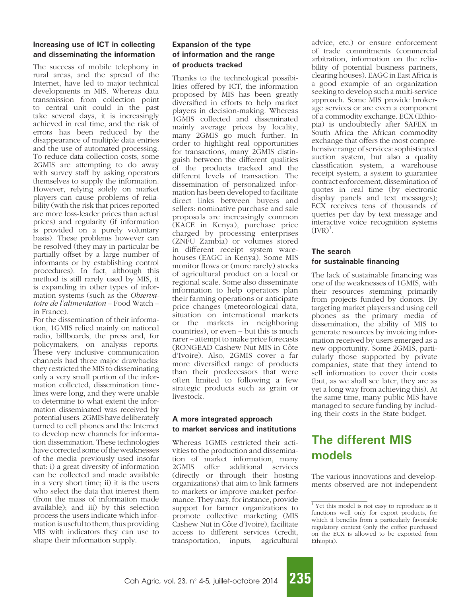#### Increasing use of ICT in collecting and disseminating the information

The success of mobile telephony in rural areas, and the spread of the Internet, have led to major technical developments in MIS. Whereas data transmission from collection point to central unit could in the past take several days, it is increasingly achieved in real time, and the risk of errors has been reduced by the disappearance of multiple data entries and the use of automated processing. To reduce data collection costs, some 2GMIS are attempting to do away with survey staff by asking operators themselves to supply the information. However, relying solely on market players can cause problems of reliability (with the risk that prices reported are more loss-leader prices than actual prices) and regularity (if information is provided on a purely voluntary basis). These problems however can be resolved (they may in particular be partially offset by a large number of informants or by establishing control procedures). In fact, although this method is still rarely used by MIS, it is expanding in other types of information systems (such as the Observatoire de l'alimentation – Food Watch – in France).

For the dissemination of their information, 1GMIS relied mainly on national radio, billboards, the press and, for policymakers, on analysis reports. These very inclusive communication channels had three major drawbacks: they restricted the MIS to disseminating only a very small portion of the information collected, dissemination timelines were long, and they were unable to determine to what extent the information disseminated was received by potential users. 2GMIS have deliberately turned to cell phones and the Internet to develop new channels for information dissemination. These technologies have corrected some of the weaknesses of the media previously used insofar that: i) a great diversity of information can be collected and made available in a very short time; ii) it is the users who select the data that interest them (from the mass of information made available); and iii) by this selection process the users indicate which information is useful to them, thus providing MIS with indicators they can use to shape their information supply.

#### Expansion of the type of information and the range of products tracked

Thanks to the technological possibilities offered by ICT, the information proposed by MIS has been greatly diversified in efforts to help market players in decision-making. Whereas 1GMIS collected and disseminated mainly average prices by locality, many 2GMIS go much further. In order to highlight real opportunities for transactions, many 2GMIS distinguish between the different qualities of the products tracked and the different levels of transaction. The dissemination of personalized information has been developed to facilitate direct links between buyers and sellers: nominative purchase and sale proposals are increasingly common (KACE in Kenya), purchase price charged by processing enterprises (ZNFU Zambia) or volumes stored in different receipt system warehouses (EAGC in Kenya). Some MIS monitor flows or (more rarely) stocks of agricultural product on a local or regional scale. Some also disseminate information to help operators plan their farming operations or anticipate price changes (meteorological data, situation on international markets or the markets in neighboring countries), or even – but this is much rarer – attempt to make price forecasts (RONGEAD Cashew Nut MIS in Côte d'Ivoire). Also, 2GMIS cover a far more diversified range of products than their predecessors that were often limited to following a few strategic products such as grain or livestock.

#### A more integrated approach to market services and institutions

Whereas 1GMIS restricted their activities to the production and dissemination of market information, many 2GMIS offer additional services (directly or through their hosting organizations) that aim to link farmers to markets or improve market performance. They may, for instance, provide support for farmer organizations to promote collective marketing (MIS Cashew Nut in Côte d'Ivoire), facilitate access to different services (credit, transportation, inputs, agricultural

advice, etc.) or ensure enforcement of trade commitments (commercial arbitration, information on the reliability of potential business partners, clearing houses). EAGC in East Africa is a good example of an organization seeking to develop such a multi-service approach. Some MIS provide brokerage services or are even a component of a commodity exchange. ECX (Ethiopia) is undoubtedly after SAFEX in South Africa the African commodity exchange that offers the most comprehensive range of services: sophisticated auction system, but also a quality classification system, a warehouse receipt system, a system to guarantee contract enforcement, dissemination of quotes in real time (by electronic display panels and text messages); ECX receives tens of thousands of queries per day by text message and interactive voice recognition systems  $(IVR)^1$ .

#### The search for sustainable financing

The lack of sustainable financing was one of the weaknesses of 1GMIS, with their resources stemming primarily from projects funded by donors. By targeting market players and using cell phones as the primary media of dissemination, the ability of MIS to generate resources by invoicing information received by users emerged as a new opportunity. Some 2GMIS, particularly those supported by private companies, state that they intend to sell information to cover their costs (but, as we shall see later, they are as yet a long way from achieving this). At the same time, many public MIS have managed to secure funding by including their costs in the State budget.

# The different MIS models

The various innovations and developments observed are not independent



<sup>&</sup>lt;sup>1</sup> Yet this model is not easy to reproduce as it functions well only for export products, for which it benefits from a particularly favorable regulatory context (only the coffee purchased on the ECX is allowed to be exported from Ethiopia).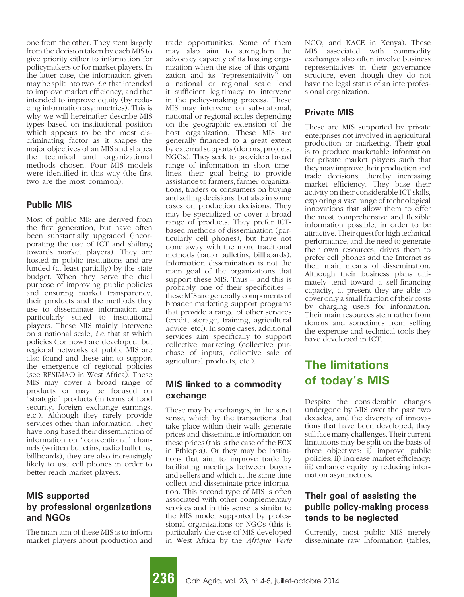one from the other. They stem largely from the decision taken by each MIS to give priority either to information for policymakers or for market players. In the latter case, the information given may be split into two, i.e. that intended to improve market efficiency, and that intended to improve equity (by reducing information asymmetries). This is why we will hereinafter describe MIS types based on institutional position which appears to be the most discriminating factor as it shapes the major objectives of an MIS and shapes the technical and organizational methods chosen. Four MIS models were identified in this way (the first two are the most common).

#### Public MIS

Most of public MIS are derived from the first generation, but have often been substantially upgraded (incorporating the use of ICT and shifting towards market players). They are hosted in public institutions and are funded (at least partially) by the state budget. When they serve the dual purpose of improving public policies and ensuring market transparency, their products and the methods they use to disseminate information are particularly suited to institutional players. These MIS mainly intervene on a national scale, i.e. that at which policies (for now) are developed, but regional networks of public MIS are also found and these aim to support the emergence of regional policies (see RESIMAO in West Africa). These MIS may cover a broad range of products or may be focused on ''strategic'' products (in terms of food security, foreign exchange earnings, etc.). Although they rarely provide services other than information. They have long based their dissemination of information on ''conventional'' channels (written bulletins, radio bulletins, billboards), they are also increasingly likely to use cell phones in order to better reach market players.

#### MIS supported by professional organizations and NGOs

The main aim of these MIS is to inform market players about production and trade opportunities. Some of them may also aim to strengthen the advocacy capacity of its hosting organization when the size of this organization and its ''representativity'' on a national or regional scale lend it sufficient legitimacy to intervene in the policy-making process. These MIS may intervene on sub-national, national or regional scales depending on the geographic extension of the host organization. These MIS are generally financed to a great extent by external supports (donors, projects, NGOs). They seek to provide a broad range of information in short timelines, their goal being to provide assistance to farmers, farmer organizations, traders or consumers on buying and selling decisions, but also in some cases on production decisions. They may be specialized or cover a broad range of products. They prefer ICTbased methods of dissemination (particularly cell phones), but have not done away with the more traditional methods (radio bulletins, billboards). Information dissemination is not the main goal of the organizations that support these MIS. Thus – and this is probably one of their specificities – these MIS are generally components of broader marketing support programs that provide a range of other services (credit, storage, training, agricultural advice, etc.). In some cases, additional services aim specifically to support collective marketing (collective purchase of inputs, collective sale of agricultural products, etc.).

#### MIS linked to a commodity exchange

These may be exchanges, in the strict sense, which by the transactions that take place within their walls generate prices and disseminate information on these prices (this is the case of the ECX in Ethiopia). Or they may be institutions that aim to improve trade by facilitating meetings between buyers and sellers and which at the same time collect and disseminate price information. This second type of MIS is often associated with other complementary services and in this sense is similar to the MIS model supported by professional organizations or NGOs (this is particularly the case of MIS developed in West Africa by the Afrique Verte NGO, and KACE in Kenya). These MIS associated with commodity exchanges also often involve business representatives in their governance structure, even though they do not have the legal status of an interprofessional organization.

### Private MIS

These are MIS supported by private enterprises not involved in agricultural production or marketing. Their goal is to produce marketable information for private market players such that they may improve their production and trade decisions, thereby increasing market efficiency. They base their activity on their considerable ICT skills, exploring a vast range of technological innovations that allow them to offer the most comprehensive and flexible information possible, in order to be attractive. Their quest for high technical performance, and the need to generate their own resources, drives them to prefer cell phones and the Internet as their main means of dissemination. Although their business plans ultimately tend toward a self-financing capacity, at present they are able to cover only a small fraction of their costs by charging users for information. Their main resources stem rather from donors and sometimes from selling the expertise and technical tools they have developed in ICT.

# The limitations of today's MIS

Despite the considerable changes undergone by MIS over the past two decades, and the diversity of innovations that have been developed, they still face many challenges. Their current limitations may be split on the basis of three objectives: i) improve public policies; ii) increase market efficiency; iii) enhance equity by reducing information asymmetries.

### Their goal of assisting the public policy-making process tends to be neglected

Currently, most public MIS merely disseminate raw information (tables,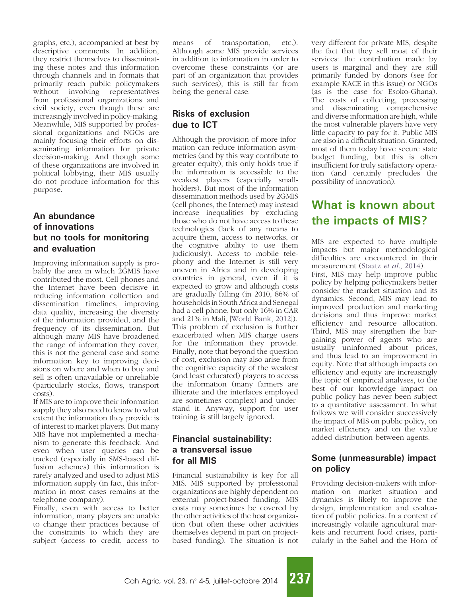graphs, etc.), accompanied at best by descriptive comments. In addition, they restrict themselves to disseminating these notes and this information through channels and in formats that primarily reach public policymakers without involving representatives from professional organizations and civil society, even though these are increasingly involved in policy-making. Meanwhile, MIS supported by professional organizations and NGOs are mainly focusing their efforts on disseminating information for private decision-making. And though some of these organizations are involved in political lobbying, their MIS usually do not produce information for this purpose.

### An abundance of innovations but no tools for monitoring and evaluation

Improving information supply is probably the area in which 2GMIS have contributed the most. Cell phones and the Internet have been decisive in reducing information collection and dissemination timelines, improving data quality, increasing the diversity of the information provided, and the frequency of its dissemination. But although many MIS have broadened the range of information they cover, this is not the general case and some information key to improving decisions on where and when to buy and sell is often unavailable or unreliable (particularly stocks, flows, transport costs).

If MIS are to improve their information supply they also need to know to what extent the information they provide is of interest to market players. But many MIS have not implemented a mechanism to generate this feedback. And even when user queries can be tracked (especially in SMS-based diffusion schemes) this information is rarely analyzed and used to adjust MIS information supply (in fact, this information in most cases remains at the telephone company).

Finally, even with access to better information, many players are unable to change their practices because of the constraints to which they are subject (access to credit, access to

means of transportation, etc.). Although some MIS provide services in addition to information in order to overcome these constraints (or are part of an organization that provides such services), this is still far from being the general case.

# Risks of exclusion due to ICT

Although the provision of more information can reduce information asymmetries (and by this way contribute to greater equity), this only holds true if the information is accessible to the weakest players (especially smallholders). But most of the information dissemination methods used by 2GMIS (cell phones, the Internet) may instead increase inequalities by excluding those who do not have access to these technologies (lack of any means to acquire them, access to networks, or the cognitive ability to use them judiciously). Access to mobile telephony and the Internet is still very uneven in Africa and in developing countries in general, even if it is expected to grow and although costs are gradually falling (in 2010, 86% of households in South Africa and Senegal had a cell phone, but only 16% in CAR and 21% in Mali, [\[World Bank, 2012](#page-12-0)]). This problem of exclusion is further exacerbated when MIS charge users for the information they provide. Finally, note that beyond the question of cost, exclusion may also arise from the cognitive capacity of the weakest (and least educated) players to access the information (many farmers are illiterate and the interfaces employed are sometimes complex) and understand it. Anyway, support for user training is still largely ignored.

## Financial sustainability: a transversal issue for all MIS

Financial sustainability is key for all MIS. MIS supported by professional organizations are highly dependent on external project-based funding. MIS costs may sometimes be covered by the other activities of the host organization (but often these other activities themselves depend in part on projectbased funding). The situation is not

very different for private MIS, despite the fact that they sell most of their services: the contribution made by users is marginal and they are still primarily funded by donors (see for example KACE in this issue) or NGOs (as is the case for Esoko-Ghana). The costs of collecting, processing and disseminating comprehensive and diverse information are high, while the most vulnerable players have very little capacity to pay for it. Public MIS are also in a difficult situation. Granted, most of them today have secure state budget funding, but this is often insufficient for truly satisfactory operation (and certainly precludes the possibility of innovation).

# What is known about the impacts of MIS?

MIS are expected to have multiple impacts but major methodological difficulties are encountered in their measurement (Staatz et al.[, 2014](#page-12-0)). First, MIS may help improve public policy by helping policymakers better consider the market situation and its dynamics. Second, MIS may lead to improved production and marketing decisions and thus improve market efficiency and resource allocation. Third, MIS may strengthen the bargaining power of agents who are usually uninformed about prices, and thus lead to an improvement in equity. Note that although impacts on efficiency and equity are increasingly the topic of empirical analyses, to the best of our knowledge impact on public policy has never been subject to a quantitative assessment. In what follows we will consider successively the impact of MIS on public policy, on market efficiency and on the value added distribution between agents.

# Some (unmeasurable) impact on policy

Providing decision-makers with information on market situation and dynamics is likely to improve the design, implementation and evaluation of public policies. In a context of increasingly volatile agricultural markets and recurrent food crises, particularly in the Sahel and the Horn of

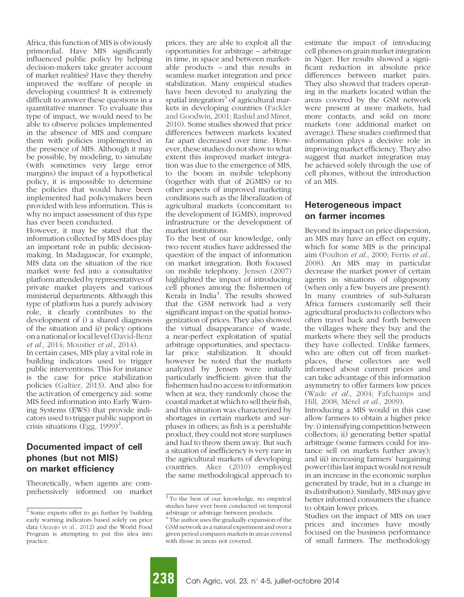Africa, this function of MIS is obviously primordial. Have MIS significantly influenced public policy by helping decision-makers take greater account of market realities? Have they thereby improved the welfare of people in developing countries? It is extremely difficult to answer these questions in a quantitative manner. To evaluate this type of impact, we would need to be able to observe policies implemented in the absence of MIS and compare them with policies implemented in the presence of MIS. Although it may be possible, by modeling, to simulate (with sometimes very large error margins) the impact of a hypothetical policy, it is impossible to determine the policies that would have been implemented had policymakers been provided with less information. This is why no impact assessment of this type has ever been conducted.

However, it may be stated that the information collected by MIS does play an important role in public decisionmaking. In Madagascar, for example, MIS data on the situation of the rice market were fed into a consultative platform attended by representatives of private market players and various ministerial departments. Although this type of platform has a purely advisory role, it clearly contributes to the development of i) a shared diagnosis of the situation and ii) policy options on a national or local level [\(David-Benz](#page-11-0) et al.[, 2014; Moustier](#page-11-0) et al., 2014).

In certain cases, MIS play a vital role in building indicators used to trigger public interventions. This for instance is the case for price stabilization policies ([Galtier, 2013](#page-11-0)). And also for the activation of emergency aid: some MIS feed information into Early Warning Systems (EWS) that provide indicators used to trigger public support in crisis situations  $(\text{Egg}, 1999)^2$ .

#### Documented impact of cell phones (but not MIS) on market efficiency

Theoretically, when agents are comprehensively informed on market prices, they are able to exploit all the opportunities for arbitrage – arbitrage in time, in space and between marketable products – and this results in seamless market integration and price stabilization. Many empirical studies have been devoted to analyzing the spatial integration<sup>3</sup> of agricultural markets in developing countries ([Fackler](#page-11-0) [and Goodwin, 2001; Rashid and Minot,](#page-11-0) [2010](#page-11-0)). Some studies showed that price differences between markets located far apart decreased over time. However, these studies do not show to what extent this improved market integration was due to the emergence of MIS, to the boom in mobile telephony (together with that of 2GMIS) or to other aspects of improved marketing conditions such as the liberalization of agricultural markets (concomitant to the development of 1GMIS), improved infrastructure or the development of market institutions.

To the best of our knowledge, only two recent studies have addressed the question of the impact of information on market integration. Both focused on mobile telephony. [Jensen \(2007\)](#page-12-0) highlighted the impact of introducing cell phones among the fishermen of Kerala in India<sup>4</sup>. The results showed that the GSM network had a very significant impact on the spatial homogenization of prices. They also showed the virtual disappearance of waste, a near-perfect exploitation of spatial arbitrage opportunities, and spectacular price stabilization. It should however be noted that the markets analyzed by Jensen were initially particularly inefficient: given that the fishermen had no access to information when at sea, they randomly chose the coastal market at which to sell their fish, and this situation was characterized by shortages in certain markets and surpluses in others; as fish is a perishable product, they could not store surpluses and had to throw them away. But such a situation of inefficiency is very rare in the agricultural markets of developing countries. [Aker \(2010\)](#page-11-0) employed the same methodological approach to

estimate the impact of introducing cell phones on grain market integration in Niger. Her results showed a significant reduction in absolute price differences between market pairs. They also showed that traders operating in the markets located within the areas covered by the GSM network were present at more markets, had more contacts, and sold on more markets (one additional market on average). These studies confirmed that information plays a decisive role in improving market efficiency. They also suggest that market integration may be achieved solely through the use of cell phones, without the introduction of an MIS.

#### Heterogeneous impact on farmer incomes

Beyond its impact on price dispersion, an MIS may have an effect on equity, which for some MIS is the principal aim (Poulton et al.[, 2000; Ferris](#page-12-0) et al., [2008](#page-12-0)). An MIS may in particular decrease the market power of certain agents in situations of oligopsony (when only a few buyers are present). In many countries of sub-Saharan Africa farmers customarily sell their agricultural products to collectors who often travel back and forth between the villages where they buy and the markets where they sell the products they have collected. Unlike farmers, who are often cut off from marketplaces, these collectors are well informed about current prices and can take advantage of this information asymmetry to offer farmers low prices (Wade et al.[, 2004; Fafchamps and](#page-12-0) Hill, 2008; Mérel et al., 2009).

Introducing a MIS would in this case allow farmers to obtain a higher price by: i) intensifying competition between collectors; ii) generating better spatial arbitrage (some farmers could for instance sell on markets further away); and iii) increasing farmers' bargaining power (this last impact would not result in an increase in the economic surplus generated by trade, but in a change in its distribution). Similarly, MIS may give better informed consumers the chance to obtain lower prices.

Studies on the impact of MIS on user prices and incomes have mostly focused on the business performance of small farmers. The methodology

<sup>2</sup> Some experts offer to go further by building early warning indicators based solely on price data [\(Araujo et al., 2012](#page-11-0)) and the World Food Program is attempting to put this idea into practice.

 $\frac{3}{3}$  To the best of our knowledge, no empirical studies have ever been conducted on temporal arbitrage or arbitrage between products.

<sup>&</sup>lt;sup>4</sup> The author uses the gradually expansion of the GSM network as a natural experiment and over a given period compares markets in areas covered with those in areas not covered.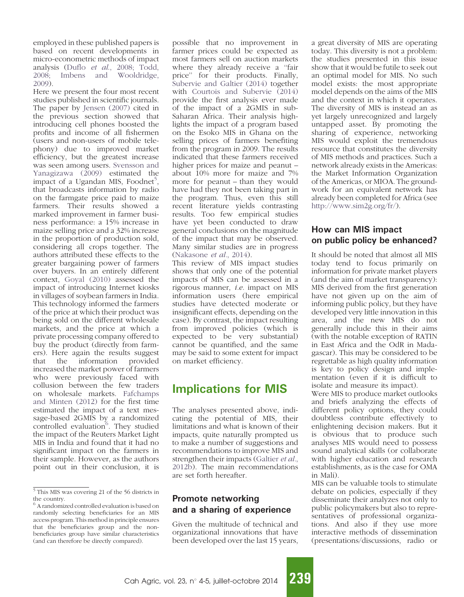employed in these published papers is based on recent developments in micro-econometric methods of impact analysis (Duflo et al[., 2008; Todd,](#page-11-0) [2008; Imbens and Wooldridge,](#page-11-0) [2009](#page-11-0)).

Here we present the four most recent studies published in scientific journals. The paper by [Jensen \(2007\)](#page-12-0) cited in the previous section showed that introducing cell phones boosted the profits and income of all fishermen (users and non-users of mobile telephony) due to improved market efficiency, but the greatest increase was seen among users. [Svensson and](#page-12-0) [Yanagizawa \(2009\)](#page-12-0) estimated the impact of a Ugandan MIS, Foodnet<sup>5</sup>, that broadcasts information by radio on the farmgate price paid to maize farmers. Their results showed a marked improvement in farmer business performance: a 15% increase in maize selling price and a 32% increase in the proportion of production sold, considering all crops together. The authors attributed these effects to the greater bargaining power of farmers over buyers. In an entirely different context, [Goyal \(2010\)](#page-11-0) assessed the impact of introducing Internet kiosks in villages of soybean farmers in India. This technology informed the farmers of the price at which their product was being sold on the different wholesale markets, and the price at which a private processing company offered to buy the product (directly from farmers). Here again the results suggest that the information provided increased the market power of farmers who were previously faced with collusion between the few traders on wholesale markets. [Fafchamps](#page-11-0) [and Minten \(2012\)](#page-11-0) for the first time estimated the impact of a text message-based 2GMIS by a randomized<br>controlled evaluation<sup>6</sup>. They studied the impact of the Reuters Market Light MIS in India and found that it had no significant impact on the farmers in their sample. However, as the authors point out in their conclusion, it is

possible that no improvement in farmer prices could be expected as most farmers sell on auction markets where they already receive a "fair price'' for their products. Finally, [Subervie and Galtier \(2014\)](#page-12-0) together with [Courtois and Subervie \(2014\)](#page-11-0) provide the first analysis ever made of the impact of a 2GMIS in sub-Saharan Africa. Their analysis highlights the impact of a program based on the Esoko MIS in Ghana on the selling prices of farmers benefiting from the program in 2009. The results indicated that these farmers received higher prices for maize and peanut – about 10% more for maize and 7% more for peanut – than they would have had they not been taking part in the program. Thus, even this still recent literature yields contrasting results. Too few empirical studies have yet been conducted to draw general conclusions on the magnitude of the impact that may be observed. Many similar studies are in progress ([Nakasone](#page-12-0) et al., 2014).

This review of MIS impact studies shows that only one of the potential impacts of MIS can be assessed in a rigorous manner, i.e. impact on MIS information users (here empirical studies have detected moderate or insignificant effects, depending on the case). By contrast, the impact resulting from improved policies (which is expected to be very substantial) cannot be quantified, and the same may be said to some extent for impact on market efficiency.

# Implications for MIS

The analyses presented above, indicating the potential of MIS, their limitations and what is known of their impacts, quite naturally prompted us to make a number of suggestions and recommendations to improve MIS and strengthen their impacts ([Galtier](#page-11-0) et al., [2012b\)](#page-11-0). The main recommendations are set forth hereafter.

# Promote networking and a sharing of experience

Given the multitude of technical and organizational innovations that have been developed over the last 15 years, a great diversity of MIS are operating today. This diversity is not a problem: the studies presented in this issue show that it would be futile to seek out an optimal model for MIS. No such model exists: the most appropriate model depends on the aims of the MIS and the context in which it operates. The diversity of MIS is instead an as yet largely unrecognized and largely untapped asset. By promoting the sharing of experience, networking MIS would exploit the tremendous resource that constitutes the diversity of MIS methods and practices. Such a network already exists in the Americas: the Market Information Organization of the Americas, or MIOA. The groundwork for an equivalent network has already been completed for Africa (see [http://www.sim2g.org/fr/\)](http://www.sim2g.org/fr/).

### How can MIS impact on public policy be enhanced?

It should be noted that almost all MIS today tend to focus primarily on information for private market players (and the aim of market transparency): MIS derived from the first generation have not given up on the aim of informing public policy, but they have developed very little innovation in this area, and the new MIS do not generally include this in their aims (with the notable exception of RATIN in East Africa and the OdR in Madagascar). This may be considered to be regrettable as high quality information is key to policy design and implementation (even if it is difficult to isolate and measure its impact).

Were MIS to produce market outlooks and briefs analyzing the effects of different policy options, they could doubtless contribute effectively to enlightening decision makers. But it is obvious that to produce such analyses MIS would need to possess sound analytical skills (or collaborate with higher education and research establishments, as is the case for OMA in Mali).

MIS can be valuable tools to stimulate debate on policies, especially if they disseminate their analyzes not only to public policymakers but also to representatives of professional organizations. And also if they use more interactive methods of dissemination (presentations/discussions, radio or



<sup>5</sup> This MIS was covering 21 of the 56 districts in the country.

<sup>&</sup>lt;sup>6</sup> A randomized controlled evaluation is based on randomly selecting beneficiaries for an MIS access program. This method in principle ensures that the beneficiaries group and the nonbeneficiaries group have similar characteristics (and can therefore be directly compared).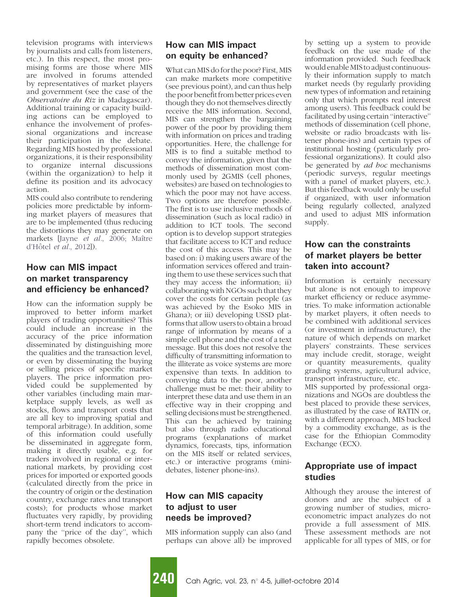television programs with interviews by journalists and calls from listeners, etc.). In this respect, the most promising forms are those where MIS are involved in forums attended by representatives of market players and government (see the case of the Observatoire du Riz in Madagascar). Additional training or capacity building actions can be employed to enhance the involvement of professional organizations and increase their participation in the debate. Regarding MIS hosted by professional organizations, it is their responsibility to organize internal discussions (within the organization) to help it define its position and its advocacy action.

MIS could also contribute to rendering policies more predictable by informing market players of measures that are to be implemented (thus reducing the distortions they may generate on markets [Jayne et al., 2006; Maître d'Hôtel et al., 2012]).

### How can MIS impact on market transparency and efficiency be enhanced?

How can the information supply be improved to better inform market players of trading opportunities? This could include an increase in the accuracy of the price information disseminated by distinguishing more the qualities and the transaction level, or even by disseminating the buying or selling prices of specific market players. The price information provided could be supplemented by other variables (including main marketplace supply levels, as well as stocks, flows and transport costs that are all key to improving spatial and temporal arbitrage). In addition, some of this information could usefully be disseminated in aggregate form, making it directly usable, e.g. for traders involved in regional or international markets, by providing cost prices for imported or exported goods (calculated directly from the price in the country of origin or the destination country, exchange rates and transport costs); for products whose market fluctuates very rapidly, by providing short-term trend indicators to accompany the ''price of the day'', which rapidly becomes obsolete.

# How can MIS impact on equity be enhanced?

What can MIS do for the poor? First, MIS can make markets more competitive (see previous point), and can thus help the poor benefit from better prices even though they do not themselves directly receive the MIS information. Second, MIS can strengthen the bargaining power of the poor by providing them with information on prices and trading opportunities. Here, the challenge for MIS is to find a suitable method to convey the information, given that the methods of dissemination most commonly used by 2GMIS (cell phones, websites) are based on technologies to which the poor may not have access. Two options are therefore possible. The first is to use inclusive methods of dissemination (such as local radio) in addition to ICT tools. The second option is to develop support strategies that facilitate access to ICT and reduce the cost of this access. This may be based on: i) making users aware of the information services offered and training them to use these services such that they may access the information; ii) collaborating with NGOs such that they cover the costs for certain people (as was achieved by the Esoko MIS in Ghana); or iii) developing USSD platforms that allow users to obtain a broad range of information by means of a simple cell phone and the cost of a text message. But this does not resolve the difficulty of transmitting information to the illiterate as voice systems are more expensive than texts. In addition to conveying data to the poor, another challenge must be met: their ability to interpret these data and use them in an effective way in their cropping and selling decisions must be strengthened. This can be achieved by training but also through radio educational programs (explanations of market dynamics, forecasts, tips, information on the MIS itself or related services, etc.) or interactive programs (minidebates, listener phone-ins).

## How can MIS capacity to adjust to user needs be improved?

MIS information supply can also (and perhaps can above all) be improved by setting up a system to provide feedback on the use made of the information provided. Such feedback would enable MISto adjust continuously their information supply to match market needs (by regularly providing new types of information and retaining only that which prompts real interest among users). This feedback could be facilitated by using certain ''interactive'' methods of dissemination (cell phone, website or radio broadcasts with listener phone-ins) and certain types of institutional hosting (particularly professional organizations). It could also be generated by ad hoc mechanisms (periodic surveys, regular meetings with a panel of market players, etc.). But this feedback would only be useful if organized, with user information being regularly collected, analyzed and used to adjust MIS information supply.

## How can the constraints of market players be better taken into account?

Information is certainly necessary but alone is not enough to improve market efficiency or reduce asymmetries. To make information actionable by market players, it often needs to be combined with additional services (or investment in infrastructure), the nature of which depends on market players' constraints. These services may include credit, storage, weight or quantity measurements, quality grading systems, agricultural advice, transport infrastructure, etc.

MIS supported by professional organizations and NGOs are doubtless the best placed to provide these services, as illustrated by the case of RATIN or, with a different approach, MIS backed by a commodity exchange, as is the case for the Ethiopian Commodity Exchange (ECX).

## Appropriate use of impact studies

Although they arouse the interest of donors and are the subject of a growing number of studies, microeconometric impact analyzes do not provide a full assessment of MIS. These assessment methods are not applicable for all types of MIS, or for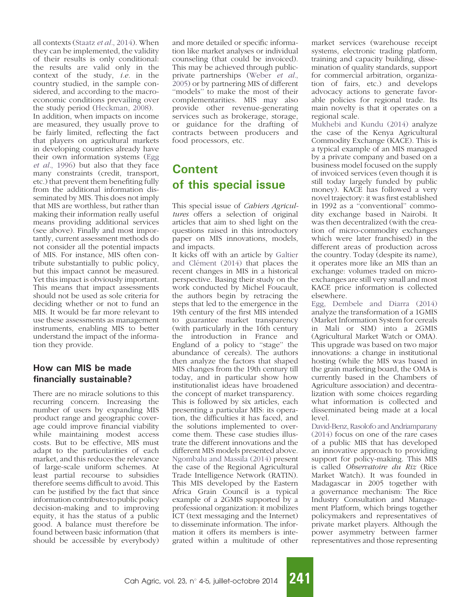all contexts (Staatz et al.[, 2014\)](#page-12-0). When they can be implemented, the validity of their results is only conditional: the results are valid only in the context of the study, *i.e.* in the country studied, in the sample considered, and according to the macroeconomic conditions prevailing over the study period ([Heckman, 2008\)](#page-11-0). In addition, when impacts on income are measured, they usually prove to be fairly limited, reflecting the fact that players on agricultural markets in developing countries already have their own information systems [\(Egg](#page-11-0) et al.[, 1996](#page-11-0)) but also that they face many constraints (credit, transport, etc.) that prevent them benefiting fully from the additional information disseminated by MIS. This does not imply that MIS are worthless, but rather than making their information really useful means providing additional services (see above). Finally and most importantly, current assessment methods do not consider all the potential impacts of MIS. For instance, MIS often contribute substantially to public policy, but this impact cannot be measured. Yet this impact is obviously important. This means that impact assessments should not be used as sole criteria for deciding whether or not to fund an MIS. It would be far more relevant to use these assessments as management instruments, enabling MIS to better understand the impact of the information they provide.

### How can MIS be made financially sustainable?

There are no miracle solutions to this recurring concern. Increasing the number of users by expanding MIS product range and geographic coverage could improve financial viability while maintaining modest access costs. But to be effective, MIS must adapt to the particularities of each market, and this reduces the relevance of large-scale uniform schemes. At least partial recourse to subsidies therefore seems difficult to avoid. This can be justified by the fact that since information contributesto public policy decision-making and to improving equity, it has the status of a public good. A balance must therefore be found between basic information (that should be accessible by everybody)

and more detailed or specific information like market analyses or individual counseling (that could be invoiced). This may be achieved through publicprivate partnerships [\(Weber](#page-12-0) et al., [2005\)](#page-12-0) or by partnering MIS of different ''models'' to make the most of their complementarities. MIS may also provide other revenue-generating services such as brokerage, storage, or guidance for the drafting of contracts between producers and food processors, etc.

# Content of this special issue

This special issue of Cahiers Agricultures offers a selection of original articles that aim to shed light on the questions raised in this introductory paper on MIS innovations, models, and impacts.

It kicks off with an article by [Galtier](#page-11-0) and Clément (2014) that places the recent changes in MIS in a historical perspective. Basing their study on the work conducted by Michel Foucault, the authors begin by retracing the steps that led to the emergence in the 19th century of the first MIS intended to guarantee market transparency (with particularly in the 16th century the introduction in France and England of a policy to "stage" the abundance of cereals). The authors then analyze the factors that shaped MIS changes from the 19th century till today, and in particular show how institutionalist ideas have broadened the concept of market transparency.

This is followed by six articles, each presenting a particular MIS: its operation, the difficulties it has faced, and the solutions implemented to overcome them. These case studies illustrate the different innovations and the different MIS models presented above. [Ngombalu and Massila \(2014\)](#page-12-0) present the case of the Regional Agricultural Trade Intelligence Network (RATIN). This MIS developed by the Eastern Africa Grain Council is a typical example of a 2GMIS supported by a professional organization: it mobilizes ICT (text messaging and the Internet) to disseminate information. The information it offers its members is integrated within a multitude of other

market services (warehouse receipt systems, electronic trading platform, training and capacity building, dissemination of quality standards, support for commercial arbitration, organization of fairs, etc.) and develops advocacy actions to generate favorable policies for regional trade. Its main novelty is that it operates on a regional scale.

[Mukhebi and Kundu \(2014\)](#page-12-0) analyze the case of the Kenya Agricultural Commodity Exchange (KACE). This is a typical example of an MIS managed by a private company and based on a business model focused on the supply of invoiced services (even though it is still today largely funded by public money). KACE has followed a very novel trajectory: it was first established in 1992 as a ''conventional'' commodity exchange based in Nairobi. It was then decentralized (with the creation of micro-commodity exchanges which were later franchised) in the different areas of production across the country. Today (despite its name), it operates more like an MIS than an exchange: volumes traded on microexchanges are still very small and most KACE price information is collected elsewhere.

[Egg, Dembele and Diarra \(2014\)](#page-11-0) analyze the transformation of a 1GMIS (Market Information System for cereals in Mali or SIM) into a 2GMIS (Agricultural Market Watch or OMA). This upgrade was based on two major innovations: a change in institutional hosting (while the MIS was based in the grain marketing board, the OMA is currently based in the Chambers of Agriculture association) and decentralization with some choices regarding what information is collected and disseminated being made at a local level.

[David-Benz, Rasolofo and Andriamparany](#page-11-0) [\(2014\)](#page-11-0) focus on one of the rare cases of a public MIS that has developed an innovative approach to providing support for policy-making. This MIS is called Observatoire du Riz (Rice Market Watch). It was founded in Madagascar in 2005 together with a governance mechanism: The Rice Industry Consultation and Management Platform, which brings together policymakers and representatives of private market players. Although the power asymmetry between farmer representatives and those representing

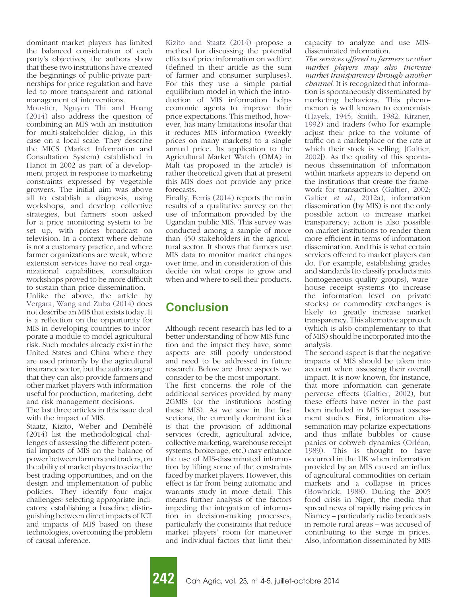dominant market players has limited the balanced consideration of each party's objectives, the authors show that these two institutions have created the beginnings of public-private partnerships for price regulation and have led to more transparent and rational management of interventions.

[Moustier, Nguyen Thi and Hoang](#page-12-0) [\(2014\)](#page-12-0) also address the question of combining an MIS with an institution for multi-stakeholder dialog, in this case on a local scale. They describe the MICS (Market Information and Consultation System) established in Hanoi in 2002 as part of a development project in response to marketing constraints expressed by vegetable growers. The initial aim was above all to establish a diagnosis, using workshops, and develop collective strategies, but farmers soon asked for a price monitoring system to be set up, with prices broadcast on television. In a context where debate is not a customary practice, and where farmer organizations are weak, where extension services have no real organizational capabilities, consultation workshops proved to be more difficult to sustain than price dissemination.

Unlike the above, the article by [Vergara, Wang and Zuba \(2014\)](#page-12-0) does not describe an MIS that exists today. It is a reflection on the opportunity for MIS in developing countries to incorporate a module to model agricultural risk. Such modules already exist in the United States and China where they are used primarily by the agricultural insurance sector, but the authors argue that they can also provide farmers and other market players with information useful for production, marketing, debt and risk management decisions.

The last three articles in this issue deal with the impact of MIS.

Staatz, Kizito, Weber and Dembélé (2014) list the methodological challenges of assessing the different potential impacts of MIS on the balance of power between farmers and traders, on the ability of market players to seize the best trading opportunities, and on the design and implementation of public policies. They identify four major challenges: selecting appropriate indicators; establishing a baseline; distinguishing between direct impacts of ICT and impacts of MIS based on these technologies; overcoming the problem of causal inference.

[Kizito and Staatz \(2014\)](#page-12-0) propose a method for discussing the potential effects of price information on welfare (defined in their article as the sum of farmer and consumer surpluses). For this they use a simple partial equilibrium model in which the introduction of MIS information helps economic agents to improve their price expectations. This method, however, has many limitations insofar that it reduces MIS information (weekly prices on many markets) to a single annual price. Its application to the Agricultural Market Watch (OMA) in Mali (as proposed in the article) is rather theoretical given that at present this MIS does not provide any price forecasts.

Finally, [Ferris \(2014\)](#page-11-0) reports the main results of a qualitative survey on the use of information provided by the Ugandan public MIS. This survey was conducted among a sample of more than 450 stakeholders in the agricultural sector. It shows that farmers use MIS data to monitor market changes over time, and in consideration of this decide on what crops to grow and when and where to sell their products.

# Conclusion

Although recent research has led to a better understanding of how MIS function and the impact they have, some aspects are still poorly understood and need to be addressed in future research. Below are three aspects we consider to be the most important.

The first concerns the role of the additional services provided by many 2GMIS (or the institutions hosting these MIS). As we saw in the first sections, the currently dominant idea is that the provision of additional services (credit, agricultural advice, collective marketing, warehouse receipt systems, brokerage, etc.) may enhance the use of MIS-disseminated information by lifting some of the constraints faced by market players. However, this effect is far from being automatic and warrants study in more detail. This means further analysis of the factors impeding the integration of information in decision-making processes, particularly the constraints that reduce market players' room for maneuver and individual factors that limit their capacity to analyze and use MISdisseminated information.

The services offered to farmers or other market players may also increase market transparency through another channel. It is recognized that information is spontaneously disseminated by marketing behaviors. This phenomenon is well known to economists ([Hayek, 1945; Smith, 1982; Kirzner,](#page-11-0) [1992](#page-11-0)) and traders (who for example adjust their price to the volume of traffic on a marketplace or the rate at which their stock is selling, [[Galtier,](#page-11-0) [2002](#page-11-0)]). As the quality of this spontaneous dissemination of information within markets appears to depend on the institutions that create the framework for transactions [\(Galtier, 2002;](#page-11-0) Galtier et al.[, 2012a\)](#page-11-0), information dissemination (by MIS) is not the only possible action to increase market transparency: action is also possible on market institutions to render them more efficient in terms of information dissemination. And this is what certain services offered to market players can do. For example, establishing grades and standards (to classify products into homogeneous quality groups), warehouse receipt systems (to increase the information level on private stocks) or commodity exchanges is likely to greatly increase market transparency. This alternative approach (which is also complementary to that of MIS) should be incorporated into the analysis.

The second aspect is that the negative impacts of MIS should be taken into account when assessing their overall impact. It is now known, for instance, that more information can generate perverse effects [\(Galtier, 2002\)](#page-11-0), but these effects have never in the past been included in MIS impact assessment studies. First, information dissemination may polarize expectations and thus inflate bubbles or cause panics or cobweb dynamics (Orléan, [1989](#page-12-0)). This is thought to have occurred in the UK when information provided by an MIS caused an influx of agricultural commodities on certain markets and a collapse in prices ([Bowbrick, 1988\)](#page-11-0). During the 2005 food crisis in Niger, the media that spread news of rapidly rising prices in Niamey – particularly radio broadcasts in remote rural areas – was accused of contributing to the surge in prices. Also, information disseminated by MIS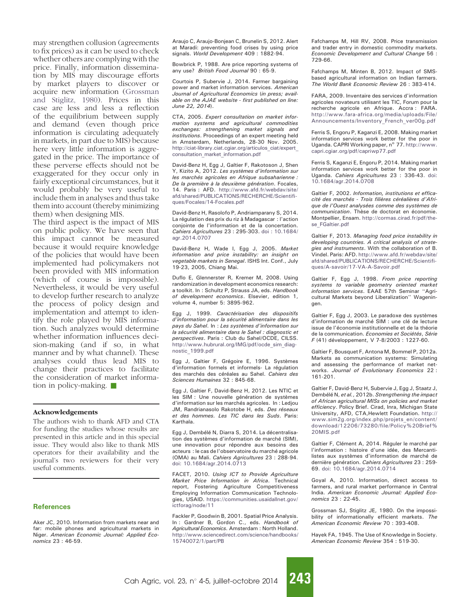<span id="page-11-0"></span>may strengthen collusion (agreements to fix prices) as it can be used to check whether others are complying with the price. Finally, information dissemination by MIS may discourage efforts by market players to discover or acquire new information (Grossman and Stiglitz, 1980). Prices in this case are less and less a reflection of the equilibrium between supply and demand (even though price information is circulating adequately in markets, in part due to MIS) because here very little information is aggregated in the price. The importance of these perverse effects should not be exaggerated for they occur only in fairly exceptional circumstances, but it would probably be very useful to include them in analyses and thus take them into account (thereby minimizing them) when designing MIS.

The third aspect is the impact of MIS on public policy. We have seen that this impact cannot be measured because it would require knowledge of the policies that would have been implemented had policymakers not been provided with MIS information (which of course is impossible). Nevertheless, it would be very useful to develop further research to analyze the process of policy design and implementation and attempt to identify the role played by MIS information. Such analyzes would determine whether information influences decision-making (and if so, in what manner and by what channel). These analyses could thus lead MIS to change their practices to facilitate the consideration of market information in policy-making.  $\blacksquare$ 

#### Acknowledgements

The authors wish to thank AFD and CTA for funding the studies whose results are presented in this article and in this special issue. They would also like to thank MIS operators for their availability and the journal's two reviewers for their very useful comments.

#### **References**

Aker JC, 2010. Information from markets near and far: mobile phones and agricultural markets in Niger. American Economic Journal: Applied Economics 23 : 46-59.

Araujo C, Araujo-Bonjean C, Brunelin S, 2012. Alert at Maradi: preventing food crises by using price signals. World Development 409 : 1882-94.

Bowbrick P, 1988. Are price reporting systems of any use? British Food Journal 90: 65-9.

Courtois P, Subervie J, 2014. Farmer bargaining power and market information services. American Journal of Agricultural Economics (in press; available on the AJAE website - first published on line: June 22, 2014).

CTA, 2005. Expert consultation on market information systems and agricultural commodities exchanges: strengthening market signals and institutions. Proceedings of an expert meeting held in Amsterdam, Netherlands, 28-30 Nov. 2005. [http://ciat-library.ciat.cgiar.org/articulos\\_ciat/expert\\_](http://ciat-library.ciat.cgiar.org/articulos_ciat/expert_consultation_market_information.pdf) [consultation\\_market\\_information.pdf](http://ciat-library.ciat.cgiar.org/articulos_ciat/expert_consultation_market_information.pdf)

David-Benz H, Egg J, Galtier F, Rakotoson J, Shen Y, Kizito A, 2012. Les systèmes d'information sur les marchés agricoles en Afrique subsaharienne : De la première à la deuxième génération. Focales, 14. Paris : AFD. [http://www.afd.fr/webdav/site/](http://www.afd.fr/webdav/site/afd/shared/PUBLICATIONS/RECHERCHE/Scientifiques/Focales/14-Focales.pdf) [afd/shared/PUBLICATIONS/RECHERCHE/Scientifi](http://www.afd.fr/webdav/site/afd/shared/PUBLICATIONS/RECHERCHE/Scientifiques/Focales/14-Focales.pdf)[ques/Focales/14-Focales.pdf](http://www.afd.fr/webdav/site/afd/shared/PUBLICATIONS/RECHERCHE/Scientifiques/Focales/14-Focales.pdf)

David-Benz H, Rasolofo P, Andriamparany S, 2014. La régulation des prix du riz à Madagascar : l'action conjointe de l'information et de la concertation. Cahiers Agricultures 23 : 295-303. [doi : 10.1684/](http://dx.doi.org/) [agr.2014.0707](http://dx.doi.org/)

David-Benz H, Wade I, Egg J, 2005. Market information and price instability: an insight on vegetable markets in Senegal. ISHS Int. Conf., July 19-23, 2005, Chiang Mai.

Duflo E, Glennerster R, Kremer M, 2008. Using randomization in development economics research: a toolkit. In : Schultz P, Strauss JA, eds. Handbook of development economics. Elsevier, edition 1, volume 4, number 5: 3895-962.

Egg J, 1999. Caractérisation des dispositifs d'information pour la sécurité alimentaire dans les pays du Sahel. In : Les systèmes d'information sur la sécurité alimentaire dans le Sahel : diagnostic et perspectives. Paris : Club du Sahel/OCDE, CILSS. [http://www.hubrural.org/IMG/pdf/ocde\\_sim\\_diag](http://www.hubrural.org/IMG/pdf/ocde_sim_diagnostic_1999.pdf)[nostic\\_1999.pdf](http://www.hubrural.org/IMG/pdf/ocde_sim_diagnostic_1999.pdf)

Egg J, Galtier F, Grégoire E, 1996. Systèmes d'information formels et informels- La régulation des marchés des céréales au Sahel. Cahiers des Sciences Humaines 32 : 845-68.

Egg J, Galtier F, David-Benz H, 2012. Les NTIC et les SIM : Une nouvelle génération de systèmes d'information sur les marchés agricoles. In : Ledjou JM, Randrianasolo Rakotobe H, eds. Des réseaux et des hommes. Les TIC dans les Suds. Paris: Karthala.

Egg J, Dembélé N, Diarra S, 2014. La décentralisation des systèmes d'information de marché (SIM), une innovation pour répondre aux besoins des acteurs : le cas de l'observatoire du marché agricole (OMA) au Mali. Cahiers Agricultures 23 : 288-9[4.](http://dx.doi.org/10.1684/agr.2014.0713) [doi: 10.1684/agr.2014.0713](http://dx.doi.org/10.1684/agr.2014.0713)

FACET, 2010. Using ICT to Provide Agriculture Market Price Information in Africa. Technical report, Fostering Agriculture Competitiveness Employing Information Communication Technologies, USAID. [https://communities.usaidallnet.gov/](https://communities.usaidallnet.gov/ictforag/node/11) [ictforag/node/11](https://communities.usaidallnet.gov/ictforag/node/11)

Fackler P, Goodwin B, 2001. Spatial Price Analysis. In : Gardner B, Gordon C., eds. Handbook of Agricultural Economics. Amsterdam : North Holland. [http://www.sciencedirect.com/science/handbooks/](http://www.sciencedirect.com/science/handbooks/15740072/1/part/PB) [15740072/1/part/PB](http://www.sciencedirect.com/science/handbooks/15740072/1/part/PB)

Fafchamps M, Hill RV, 2008. Price transmission and trader entry in domestic commodity markets. Economic Development and Cultural Change 56 : 729-66.

Fafchamps M, Minten B, 2012. Impact of SMSbased agricultural information on Indian farmers. The World Bank Economic Review 26 : 383-414.

FARA, 2009. Inventaire des services d'information agricoles novateurs utilisant les TIC, Forum pour la recherche agricole en Afrique. Accra : FARA. [http://www.fara-africa.org/media/uploads/File/](http://www.fara-africa.org/media/uploads/File/Announcements/Inventory_French_ver00g.pdf) [Announcements/Inventory\\_French\\_ver00g.pdf](http://www.fara-africa.org/media/uploads/File/Announcements/Inventory_French_ver00g.pdf)

Ferris S, Engoru P, Kaganzi E, 2008. Making market information services work better for the poor in Uganda. CAPRI Working paper, n° 77. [http://www.](http://www.capri.cgiar.org/pdf/capriwp77.pdf) [capri.cgiar.org/pdf/capriwp77.pdf](http://www.capri.cgiar.org/pdf/capriwp77.pdf)

Ferris S, Kaganzi E, Engoru P, 2014. Making market information services work better for the poor in Uganda. Cahiers Agricultures 23 : 336-4[3. doi:](http://dx.doi.org/10.1684/agr.2014.0708) [10.1684/agr.2014.0708](http://dx.doi.org/10.1684/agr.2014.0708)

Galtier F, 2002. Information, institutions et efficacité des marchés - Trois filières céréalières d'Afrique de l'Ouest analysées comme des systèmes de communication. Thèse de doctorat en économie. Montpellier, Ensam. [http://cormas.cirad.fr/pdf/the](http://cormas.cirad.fr/pdf/these_FGaltier.pdf)[se\\_FGaltier.pdf](http://cormas.cirad.fr/pdf/these_FGaltier.pdf)

Galtier F, 2013. Managing food price instability in developing countries. A critical analysis of strategies and instruments. With the collaboration of B. Vindel. Paris: AFD. [http://www.afd.fr/webdav/site/](http://www.afd.fr/webdav/site/afd/shared/PUBLICATIONS/RECHERCHE/Scientifiques/A-savoir/17-VA-A-Savoir.pdf) [afd/shared/PUBLICATIONS/RECHERCHE/Scientifi](http://www.afd.fr/webdav/site/afd/shared/PUBLICATIONS/RECHERCHE/Scientifiques/A-savoir/17-VA-A-Savoir.pdf)[ques/A-savoir/17-VA-A-Savoir.pdf](http://www.afd.fr/webdav/site/afd/shared/PUBLICATIONS/RECHERCHE/Scientifiques/A-savoir/17-VA-A-Savoir.pdf)

Galtier F, Egg J, 1998. From price reporting systems to variable geometry oriented market information services. EAAE 57th Seminar ''Agricultural Markets beyond Liberalization'' Wageningen.

Galtier F, Egg J, 2003. Le paradoxe des systèmes d'information de marché SIM : une clé de lecture issue de l'économie institutionnelle et de la théorie de la communication. Economies et Sociétés, Série F (41) développement, V 7-8/2003 : 1227-60.

Galtier F, Bousquet F, Antona M, Bommel P, 2012a. Markets as communication systems: Simulating and assessing the performance of market networks. Journal of Evolutionary Economics 22 : 161-201.

Galtier F, David-Benz H, Subervie J, Egg J, Staatz J, Dembélé N, et al., 2012b. Strengthening the impact of African agricultural MISs on policies and market efficiency. Policy Brief. Cirad, Inra, Michigan State University, AFD, CTA,Hewlett Foundation. [http://](http://www.sim2g.org/index.php/projets_en/content/download/12206/73280/file/Policy%242520Brief%242520MIS.pdf) [www.sim2g.org/index.php/projets\\_en/content/](http://www.sim2g.org/index.php/projets_en/content/download/12206/73280/file/Policy%242520Brief%242520MIS.pdf) [download/12206/73280/file/Policy%20Brief%](http://www.sim2g.org/index.php/projets_en/content/download/12206/73280/file/Policy%242520Brief%242520MIS.pdf) [20MIS.pdf](http://www.sim2g.org/index.php/projets_en/content/download/12206/73280/file/Policy%242520Brief%242520MIS.pdf)

Galtier F, Clément A, 2014. Réguler le marché par l'information : histoire d'une idée, des Mercantilistes aux systèmes d'information de marché de dernière génération. Cahiers Agricultures 23 : 259- 6[9. doi: 10.1684/agr.2014.0714](http://dx.doi.org/10.1684/agr.2014.0714)

Goyal A, 2010. Information, direct access to farmers, and rural market performance in Central India. American Economic Journal: Applied Economics 23 : 22-45.

Grossman SJ, Stiglitz JE, 1980. On the impossibility of informationally efficient markets. The American Economic Review 70 : 393-408.

Hayek FA, 1945. The Use of Knowledge in Society. American Economic Review 354 : 519-30.